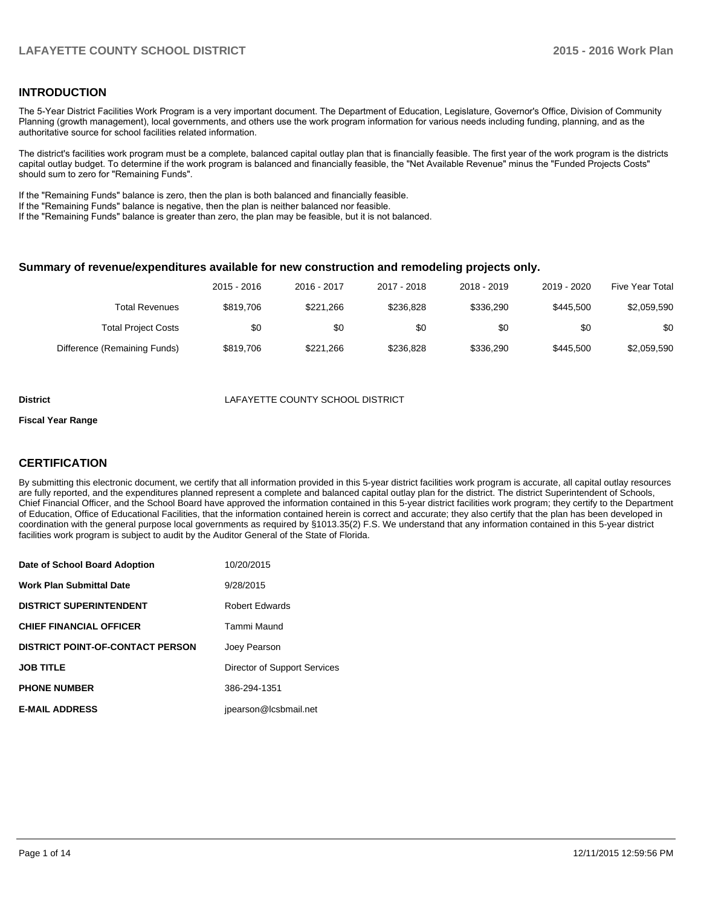### **INTRODUCTION**

The 5-Year District Facilities Work Program is a very important document. The Department of Education, Legislature, Governor's Office, Division of Community Planning (growth management), local governments, and others use the work program information for various needs including funding, planning, and as the authoritative source for school facilities related information.

The district's facilities work program must be a complete, balanced capital outlay plan that is financially feasible. The first year of the work program is the districts capital outlay budget. To determine if the work program is balanced and financially feasible, the "Net Available Revenue" minus the "Funded Projects Costs" should sum to zero for "Remaining Funds".

If the "Remaining Funds" balance is zero, then the plan is both balanced and financially feasible.

If the "Remaining Funds" balance is negative, then the plan is neither balanced nor feasible.

If the "Remaining Funds" balance is greater than zero, the plan may be feasible, but it is not balanced.

#### **Summary of revenue/expenditures available for new construction and remodeling projects only.**

| <b>Five Year Total</b> | 2019 - 2020 | 2018 - 2019 | 2017 - 2018 | $2016 - 2017$ | 2015 - 2016 |                              |
|------------------------|-------------|-------------|-------------|---------------|-------------|------------------------------|
| \$2,059,590            | \$445,500   | \$336.290   | \$236.828   | \$221.266     | \$819.706   | Total Revenues               |
| \$0                    | \$0         | \$0         | \$0         | \$0           | \$0         | <b>Total Project Costs</b>   |
| \$2,059,590            | \$445,500   | \$336.290   | \$236.828   | \$221.266     | \$819.706   | Difference (Remaining Funds) |

#### **District** LAFAYETTE COUNTY SCHOOL DISTRICT

#### **Fiscal Year Range**

### **CERTIFICATION**

By submitting this electronic document, we certify that all information provided in this 5-year district facilities work program is accurate, all capital outlay resources are fully reported, and the expenditures planned represent a complete and balanced capital outlay plan for the district. The district Superintendent of Schools, Chief Financial Officer, and the School Board have approved the information contained in this 5-year district facilities work program; they certify to the Department of Education, Office of Educational Facilities, that the information contained herein is correct and accurate; they also certify that the plan has been developed in coordination with the general purpose local governments as required by §1013.35(2) F.S. We understand that any information contained in this 5-year district facilities work program is subject to audit by the Auditor General of the State of Florida.

| Date of School Board Adoption           | 10/20/2015                   |
|-----------------------------------------|------------------------------|
| <b>Work Plan Submittal Date</b>         | 9/28/2015                    |
| <b>DISTRICT SUPERINTENDENT</b>          | <b>Robert Edwards</b>        |
| <b>CHIEF FINANCIAL OFFICER</b>          | Tammi Maund                  |
| <b>DISTRICT POINT-OF-CONTACT PERSON</b> | Joey Pearson                 |
| <b>JOB TITLE</b>                        | Director of Support Services |
| <b>PHONE NUMBER</b>                     | 386-294-1351                 |
| <b>E-MAIL ADDRESS</b>                   | jpearson@lcsbmail.net        |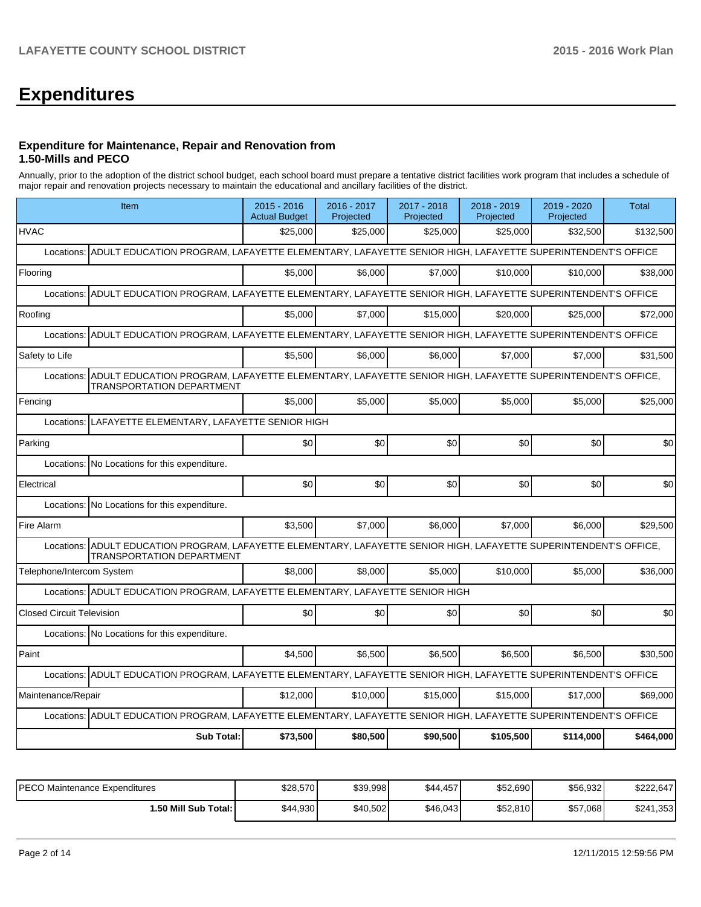# **Expenditures**

#### **Expenditure for Maintenance, Repair and Renovation from 1.50-Mills and PECO**

Annually, prior to the adoption of the district school budget, each school board must prepare a tentative district facilities work program that includes a schedule of major repair and renovation projects necessary to maintain the educational and ancillary facilities of the district.

| Item                                                                                                                                                       | $2015 - 2016$<br><b>Actual Budget</b>       | 2016 - 2017<br>Projected | 2017 - 2018<br>Projected | 2018 - 2019<br>Projected | 2019 - 2020<br>Projected | <b>Total</b> |  |  |  |  |
|------------------------------------------------------------------------------------------------------------------------------------------------------------|---------------------------------------------|--------------------------|--------------------------|--------------------------|--------------------------|--------------|--|--|--|--|
| <b>HVAC</b>                                                                                                                                                | \$25,000                                    | \$25,000                 | \$25,000                 | \$25,000                 | \$32,500                 | \$132,500    |  |  |  |  |
| ADULT EDUCATION PROGRAM, LAFAYETTE ELEMENTARY, LAFAYETTE SENIOR HIGH, LAFAYETTE SUPERINTENDENT'S OFFICE<br>Locations:                                      |                                             |                          |                          |                          |                          |              |  |  |  |  |
| Flooring                                                                                                                                                   | \$5,000                                     | \$6,000                  | \$7,000                  | \$10,000                 | \$10,000                 | \$38,000     |  |  |  |  |
| ADULT EDUCATION PROGRAM, LAFAYETTE ELEMENTARY, LAFAYETTE SENIOR HIGH, LAFAYETTE SUPERINTENDENT'S OFFICE<br>Locations:                                      |                                             |                          |                          |                          |                          |              |  |  |  |  |
| Roofing                                                                                                                                                    | \$5.000                                     | \$7,000                  | \$15,000                 | \$20,000                 | \$25,000                 | \$72,000     |  |  |  |  |
| ADULT EDUCATION PROGRAM, LAFAYETTE ELEMENTARY, LAFAYETTE SENIOR HIGH, LAFAYETTE SUPERINTENDENT'S OFFICE<br>Locations:                                      |                                             |                          |                          |                          |                          |              |  |  |  |  |
| Safety to Life                                                                                                                                             | \$5,500                                     | \$6,000                  | \$6,000                  | \$7,000                  | \$7,000                  | \$31,500     |  |  |  |  |
| ADULT EDUCATION PROGRAM, LAFAYETTE ELEMENTARY, LAFAYETTE SENIOR HIGH, LAFAYETTE SUPERINTENDENT'S OFFICE,<br>Locations:<br><b>TRANSPORTATION DEPARTMENT</b> |                                             |                          |                          |                          |                          |              |  |  |  |  |
| Fencing                                                                                                                                                    | \$5,000                                     | \$5.000                  | \$5,000                  | \$5,000                  | \$5,000                  | \$25,000     |  |  |  |  |
| Locations:                                                                                                                                                 | LAFAYETTE ELEMENTARY, LAFAYETTE SENIOR HIGH |                          |                          |                          |                          |              |  |  |  |  |
| Parking                                                                                                                                                    | \$0                                         | \$0                      | \$0                      | \$0                      | \$0                      | \$0          |  |  |  |  |
| Locations: No Locations for this expenditure.                                                                                                              |                                             |                          |                          |                          |                          |              |  |  |  |  |
| Electrical                                                                                                                                                 | \$0                                         | \$0                      | \$0                      | \$0                      | \$0                      | \$0          |  |  |  |  |
| Locations:<br>No Locations for this expenditure.                                                                                                           |                                             |                          |                          |                          |                          |              |  |  |  |  |
| Fire Alarm                                                                                                                                                 | \$3,500                                     | \$7,000                  | \$6,000                  | \$7,000                  | \$6,000                  | \$29,500     |  |  |  |  |
| Locations: ADULT EDUCATION PROGRAM, LAFAYETTE ELEMENTARY, LAFAYETTE SENIOR HIGH, LAFAYETTE SUPERINTENDENT'S OFFICE,<br><b>TRANSPORTATION DEPARTMENT</b>    |                                             |                          |                          |                          |                          |              |  |  |  |  |
| Telephone/Intercom System                                                                                                                                  | \$8,000                                     | \$8,000                  | \$5.000                  | \$10,000                 | \$5.000                  | \$36,000     |  |  |  |  |
| Locations: ADULT EDUCATION PROGRAM, LAFAYETTE ELEMENTARY, LAFAYETTE SENIOR HIGH                                                                            |                                             |                          |                          |                          |                          |              |  |  |  |  |
| <b>Closed Circuit Television</b>                                                                                                                           | \$0                                         | \$0                      | \$0                      | \$0                      | \$0                      | \$0          |  |  |  |  |
| Locations: No Locations for this expenditure.                                                                                                              |                                             |                          |                          |                          |                          |              |  |  |  |  |
| Paint                                                                                                                                                      |                                             |                          |                          |                          |                          |              |  |  |  |  |
|                                                                                                                                                            | \$4,500                                     | \$6,500                  | \$6,500                  | \$6,500                  | \$6,500                  | \$30,500     |  |  |  |  |
| ADULT EDUCATION PROGRAM, LAFAYETTE ELEMENTARY, LAFAYETTE SENIOR HIGH, LAFAYETTE SUPERINTENDENT'S OFFICE<br>Locations:                                      |                                             |                          |                          |                          |                          |              |  |  |  |  |
| Maintenance/Repair                                                                                                                                         | \$12,000                                    | \$10,000                 | \$15,000                 | \$15,000                 | \$17,000                 | \$69,000     |  |  |  |  |
| Locations: ADULT EDUCATION PROGRAM, LAFAYETTE ELEMENTARY, LAFAYETTE SENIOR HIGH, LAFAYETTE SUPERINTENDENT'S OFFICE                                         |                                             |                          |                          |                          |                          |              |  |  |  |  |

| IPECO Maintenance Expenditures | \$28,570 | \$39,998 | \$44,457 | \$52,690 | \$56,932 | \$222.647      |
|--------------------------------|----------|----------|----------|----------|----------|----------------|
| 1.50 Mill Sub Total: I         | \$44,930 | \$40.502 | \$46,043 | \$52,810 | \$57,068 | 1,353<br>\$241 |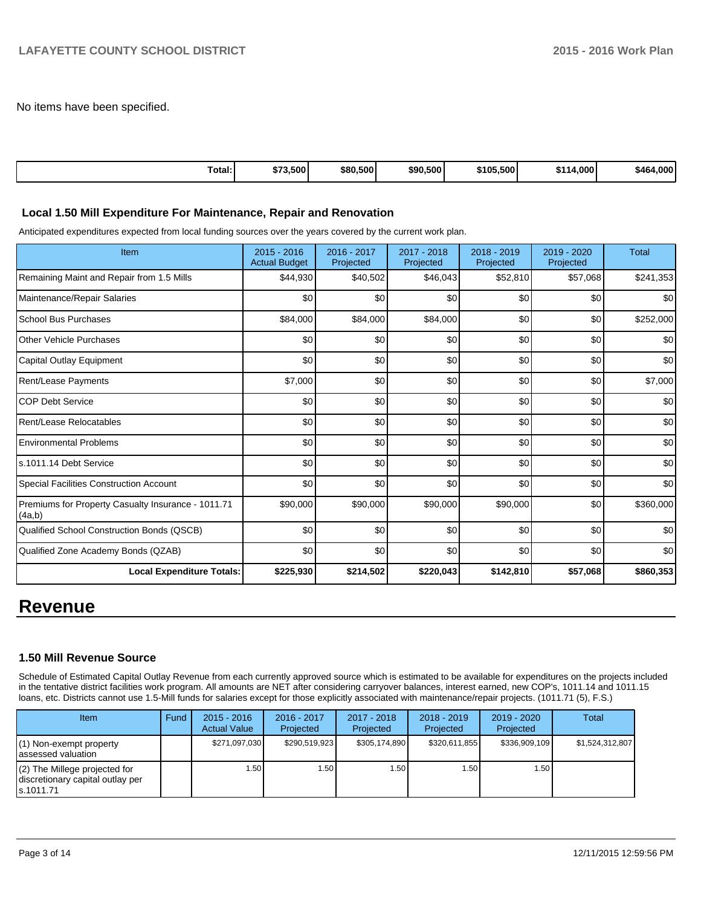No items have been specified.

| Total: | 3,500<br>ホーム<br>.ъ <i>і</i> | \$80,500 | \$90,500 | \$105.500 | 4.000 <sup>1</sup> | $.000 \cdot$<br>\$464 |
|--------|-----------------------------|----------|----------|-----------|--------------------|-----------------------|
|--------|-----------------------------|----------|----------|-----------|--------------------|-----------------------|

#### **Local 1.50 Mill Expenditure For Maintenance, Repair and Renovation**

Anticipated expenditures expected from local funding sources over the years covered by the current work plan.

| Item                                                         | 2015 - 2016<br><b>Actual Budget</b> | 2016 - 2017<br>Projected | 2017 - 2018<br>Projected | 2018 - 2019<br>Projected | $2019 - 2020$<br>Projected | Total     |
|--------------------------------------------------------------|-------------------------------------|--------------------------|--------------------------|--------------------------|----------------------------|-----------|
| Remaining Maint and Repair from 1.5 Mills                    | \$44,930                            | \$40,502                 | \$46,043                 | \$52,810                 | \$57,068                   | \$241,353 |
| Maintenance/Repair Salaries                                  | \$0                                 | \$0                      | \$0                      | \$0                      | \$0                        | \$0       |
| School Bus Purchases                                         | \$84,000                            | \$84,000                 | \$84,000                 | \$0                      | \$0                        | \$252,000 |
| <b>Other Vehicle Purchases</b>                               | \$0                                 | \$0                      | \$0                      | \$0                      | \$0                        | \$0       |
| Capital Outlay Equipment                                     | \$0                                 | \$0                      | \$0                      | \$0                      | \$0                        | \$0       |
| Rent/Lease Payments                                          | \$7,000                             | \$0                      | \$0                      | \$0                      | \$0                        | \$7,000   |
| <b>COP Debt Service</b>                                      | \$0                                 | \$0                      | \$0                      | \$0                      | \$0                        | \$0       |
| Rent/Lease Relocatables                                      | \$0                                 | \$0                      | \$0                      | \$0                      | \$0                        | \$0       |
| <b>Environmental Problems</b>                                | \$0                                 | \$0                      | \$0                      | \$0                      | \$0                        | \$0       |
| ls.1011.14 Debt Service                                      | \$0                                 | \$0                      | \$0                      | \$0                      | \$0                        | \$0       |
| Special Facilities Construction Account                      | \$0                                 | \$0                      | \$0                      | \$0                      | \$0                        | \$0       |
| Premiums for Property Casualty Insurance - 1011.71<br>(4a,b) | \$90,000                            | \$90,000                 | \$90,000                 | \$90,000                 | \$0                        | \$360,000 |
| Qualified School Construction Bonds (QSCB)                   | \$0                                 | \$0                      | \$0                      | \$0                      | \$0                        | \$0       |
| Qualified Zone Academy Bonds (QZAB)                          | \$0                                 | \$0                      | \$0                      | \$0                      | \$0                        | \$0       |
| <b>Local Expenditure Totals:</b>                             | \$225,930                           | \$214,502                | \$220,043                | \$142,810                | \$57,068                   | \$860,353 |

# **Revenue**

#### **1.50 Mill Revenue Source**

Schedule of Estimated Capital Outlay Revenue from each currently approved source which is estimated to be available for expenditures on the projects included in the tentative district facilities work program. All amounts are NET after considering carryover balances, interest earned, new COP's, 1011.14 and 1011.15 loans, etc. Districts cannot use 1.5-Mill funds for salaries except for those explicitly associated with maintenance/repair projects. (1011.71 (5), F.S.)

| Item                                                                              | Fund | $2015 - 2016$<br><b>Actual Value</b> | $2016 - 2017$<br>Projected | 2017 - 2018<br>Projected | $2018 - 2019$<br>Projected | $2019 - 2020$<br>Projected | Total           |
|-----------------------------------------------------------------------------------|------|--------------------------------------|----------------------------|--------------------------|----------------------------|----------------------------|-----------------|
| $(1)$ Non-exempt property<br>lassessed valuation                                  |      | \$271.097.030                        | \$290.519.923              | \$305,174,890            | \$320,611,855              | \$336,909,109              | \$1,524,312,807 |
| $(2)$ The Millege projected for<br>discretionary capital outlay per<br>ls.1011.71 |      | 1.50                                 | l.50 l                     | l .50 l                  | i .50 l                    | 1.50 l                     |                 |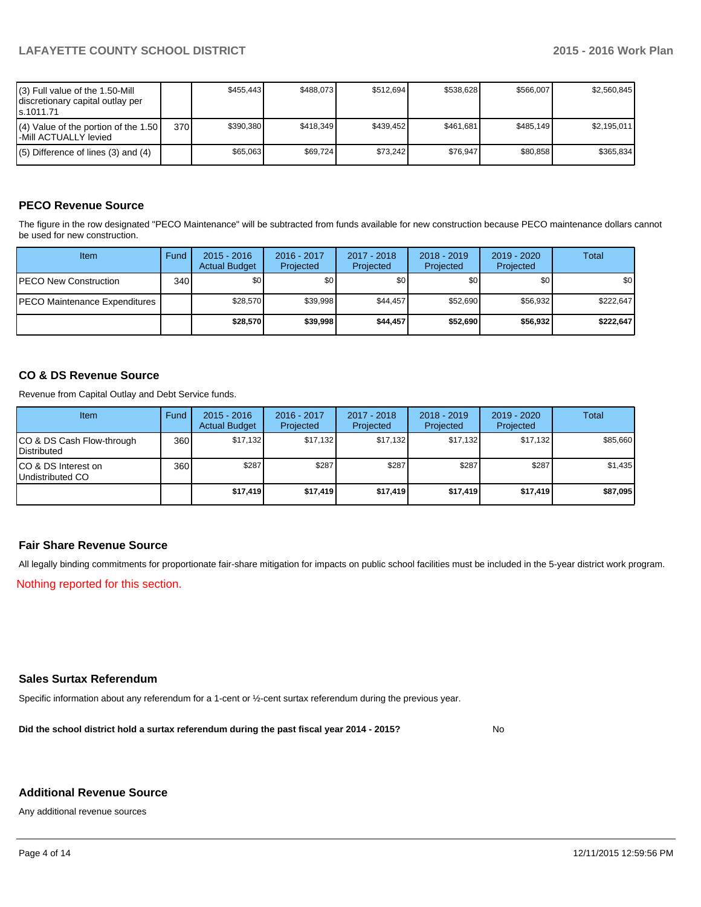| (3) Full value of the 1.50-Mill<br>I discretionary capital outlay per<br>ls.1011.71 |     | \$455.443 | \$488.073 | \$512.694 | \$538.628 | \$566,007 | \$2.560.845 |
|-------------------------------------------------------------------------------------|-----|-----------|-----------|-----------|-----------|-----------|-------------|
| $(4)$ Value of the portion of the 1.50<br>l-Mill ACTUALLY levied                    | 370 | \$390.380 | \$418.349 | \$439.452 | \$461.681 | \$485.149 | \$2,195,011 |
| $(5)$ Difference of lines (3) and (4)                                               |     | \$65.063  | \$69.724  | \$73.242  | \$76.947  | \$80.858  | \$365.834   |

## **PECO Revenue Source**

The figure in the row designated "PECO Maintenance" will be subtracted from funds available for new construction because PECO maintenance dollars cannot be used for new construction.

| Item                                 | Fund             | $2015 - 2016$<br><b>Actual Budget</b> | 2016 - 2017<br>Projected | 2017 - 2018<br>Projected | $2018 - 2019$<br>Projected | $2019 - 2020$<br>Projected | Total     |
|--------------------------------------|------------------|---------------------------------------|--------------------------|--------------------------|----------------------------|----------------------------|-----------|
| <b>IPECO New Construction</b>        | 340 <sup>l</sup> | \$0                                   | \$0                      | \$0 <sub>1</sub>         | \$0 <sub>0</sub>           | \$0                        | \$0       |
| <b>PECO Maintenance Expenditures</b> |                  | \$28.570                              | \$39.998                 | \$44.457                 | \$52,690                   | \$56.932                   | \$222,647 |
|                                      |                  | \$28,570                              | \$39.998                 | \$44.457                 | \$52,690                   | \$56,932                   | \$222,647 |

### **CO & DS Revenue Source**

Revenue from Capital Outlay and Debt Service funds.

| Item                                               | Fund             | $2015 - 2016$<br><b>Actual Budget</b> | 2016 - 2017<br>Projected | 2017 - 2018<br>Projected | $2018 - 2019$<br>Projected | 2019 - 2020<br>Projected | Total    |
|----------------------------------------------------|------------------|---------------------------------------|--------------------------|--------------------------|----------------------------|--------------------------|----------|
| ICO & DS Cash Flow-through<br><b>I</b> Distributed | 360 l            | \$17.132                              | \$17,132                 | \$17.132                 | \$17.132                   | \$17,132                 | \$85,660 |
| ICO & DS Interest on<br>Undistributed CO           | 360 <sup>1</sup> | \$287                                 | \$287                    | \$287                    | \$287                      | \$287                    | \$1,435  |
|                                                    |                  | \$17,419                              | \$17,419                 | \$17,419                 | \$17.419                   | \$17,419                 | \$87,095 |

### **Fair Share Revenue Source**

All legally binding commitments for proportionate fair-share mitigation for impacts on public school facilities must be included in the 5-year district work program.

Nothing reported for this section.

### **Sales Surtax Referendum**

Specific information about any referendum for a 1-cent or ½-cent surtax referendum during the previous year.

**Did the school district hold a surtax referendum during the past fiscal year 2014 - 2015?**

No

#### **Additional Revenue Source**

Any additional revenue sources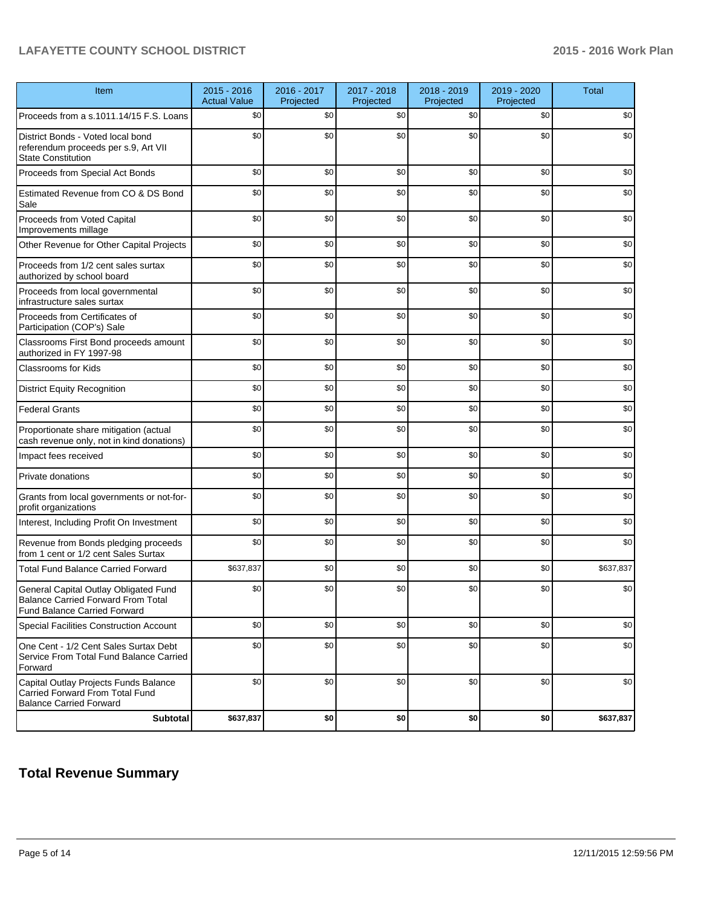## **LAFAYETTE COUNTY SCHOOL DISTRICT 2015 - 2016 Work Plan**

| Item                                                                                                                      | $2015 - 2016$<br><b>Actual Value</b> | 2016 - 2017<br>Projected | 2017 - 2018<br>Projected | 2018 - 2019<br>Projected | 2019 - 2020<br>Projected | <b>Total</b> |
|---------------------------------------------------------------------------------------------------------------------------|--------------------------------------|--------------------------|--------------------------|--------------------------|--------------------------|--------------|
| Proceeds from a s.1011.14/15 F.S. Loans                                                                                   | \$0                                  | \$0                      | \$0                      | \$0                      | \$0                      | \$0          |
| District Bonds - Voted local bond<br>referendum proceeds per s.9, Art VII<br><b>State Constitution</b>                    | \$0                                  | \$0                      | \$0                      | \$0                      | \$0                      | \$0          |
| Proceeds from Special Act Bonds                                                                                           | \$0                                  | \$0                      | \$0                      | \$0                      | \$0                      | \$0          |
| Estimated Revenue from CO & DS Bond<br>Sale                                                                               | \$0                                  | \$0                      | \$0                      | \$0                      | \$0                      | \$0          |
| Proceeds from Voted Capital<br>Improvements millage                                                                       | \$0                                  | \$0                      | \$0                      | \$0                      | \$0                      | \$0          |
| Other Revenue for Other Capital Projects                                                                                  | \$0                                  | \$0                      | \$0                      | \$0                      | \$0                      | \$0          |
| Proceeds from 1/2 cent sales surtax<br>authorized by school board                                                         | \$0                                  | \$0                      | \$0                      | \$0                      | \$0                      | \$0          |
| Proceeds from local governmental<br>infrastructure sales surtax                                                           | \$0                                  | \$0                      | \$0                      | \$0                      | \$0                      | \$0          |
| Proceeds from Certificates of<br>Participation (COP's) Sale                                                               | \$0                                  | \$0                      | \$0                      | \$0                      | \$0                      | \$0          |
| Classrooms First Bond proceeds amount<br>authorized in FY 1997-98                                                         | \$0                                  | \$0                      | \$0                      | \$0                      | \$0                      | \$0          |
| <b>Classrooms for Kids</b>                                                                                                | \$0                                  | \$0                      | \$0                      | \$0                      | \$0                      | \$0          |
| <b>District Equity Recognition</b>                                                                                        | \$0                                  | \$0                      | \$0                      | \$0                      | \$0                      | \$0          |
| <b>Federal Grants</b>                                                                                                     | \$0                                  | \$0                      | \$0                      | \$0                      | \$0                      | \$0          |
| Proportionate share mitigation (actual<br>cash revenue only, not in kind donations)                                       | \$0                                  | \$0                      | \$0                      | \$0                      | \$0                      | \$0          |
| Impact fees received                                                                                                      | \$0                                  | \$0                      | \$0                      | \$0                      | \$0                      | \$0          |
| Private donations                                                                                                         | \$0                                  | \$0                      | \$0                      | \$0                      | \$0                      | \$0          |
| Grants from local governments or not-for-<br>profit organizations                                                         | \$0                                  | \$0                      | \$0                      | \$0                      | \$0                      | \$0          |
| Interest, Including Profit On Investment                                                                                  | \$0                                  | \$0                      | \$0                      | \$0                      | \$0                      | \$0          |
| Revenue from Bonds pledging proceeds<br>from 1 cent or 1/2 cent Sales Surtax                                              | \$0                                  | \$0                      | \$0                      | \$0                      | \$0                      | \$0          |
| <b>Total Fund Balance Carried Forward</b>                                                                                 | \$637,837                            | \$0                      | \$0                      | \$0                      | \$0                      | \$637,837    |
| General Capital Outlay Obligated Fund<br><b>Balance Carried Forward From Total</b><br><b>Fund Balance Carried Forward</b> | \$0                                  | \$0                      | \$0                      | \$0                      | \$0                      | \$0          |
| Special Facilities Construction Account                                                                                   | \$0                                  | \$0                      | \$0                      | \$0                      | \$0                      | \$0          |
| One Cent - 1/2 Cent Sales Surtax Debt<br>Service From Total Fund Balance Carried<br>Forward                               | \$0                                  | \$0                      | \$0                      | \$0                      | \$0                      | \$0          |
| Capital Outlay Projects Funds Balance<br>Carried Forward From Total Fund<br><b>Balance Carried Forward</b>                | \$0                                  | \$0                      | \$0                      | \$0                      | \$0                      | \$0          |
| <b>Subtotal</b>                                                                                                           | \$637,837                            | \$0                      | \$0                      | \$0                      | \$0                      | \$637,837    |

# **Total Revenue Summary**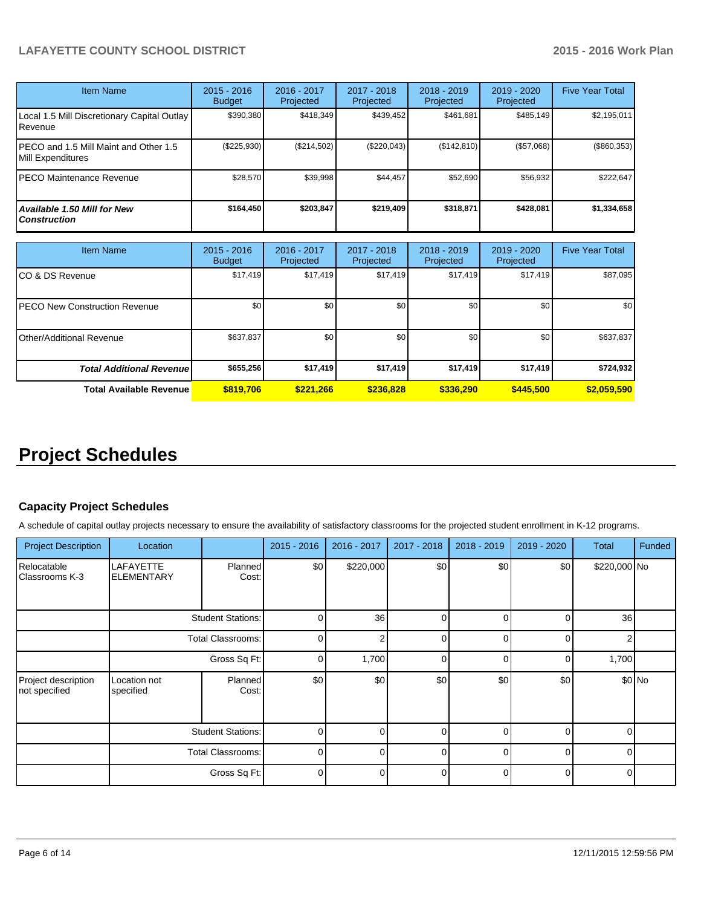## **LAFAYETTE COUNTY SCHOOL DISTRICT 2015 - 2016 Work Plan**

| <b>Item Name</b>                                           | $2015 - 2016$<br><b>Budget</b> | $2016 - 2017$<br>Projected | $2017 - 2018$<br>Projected | $2018 - 2019$<br>Projected | $2019 - 2020$<br>Projected | <b>Five Year Total</b> |
|------------------------------------------------------------|--------------------------------|----------------------------|----------------------------|----------------------------|----------------------------|------------------------|
| Local 1.5 Mill Discretionary Capital Outlay<br>Revenue     | \$390,380                      | \$418.349                  | \$439.452                  | \$461,681                  | \$485.149                  | \$2,195,011            |
| PECO and 1.5 Mill Maint and Other 1.5<br>Mill Expenditures | $(\$225,930)$                  | (\$214,502)                | (S220.043)                 | (S142, 810)                | (\$57,068)                 | (\$860,353)            |
| IPECO Maintenance Revenue                                  | \$28,570                       | \$39.998                   | \$44,457                   | \$52,690                   | \$56,932                   | \$222,647              |
| Available 1.50 Mill for New<br><b>Construction</b>         | \$164,450                      | \$203,847                  | \$219.409                  | \$318,871                  | \$428,081                  | \$1,334,658            |

| <b>Item Name</b>                     | $2015 - 2016$<br><b>Budget</b> | 2016 - 2017<br>Projected | 2017 - 2018<br>Projected | $2018 - 2019$<br>Projected | 2019 - 2020<br>Projected | <b>Five Year Total</b> |
|--------------------------------------|--------------------------------|--------------------------|--------------------------|----------------------------|--------------------------|------------------------|
| CO & DS Revenue                      | \$17,419                       | \$17,419                 | \$17,419                 | \$17,419                   | \$17,419                 | \$87,095               |
| <b>PECO New Construction Revenue</b> | \$0                            | \$0                      | \$0                      | \$0                        | \$0                      | \$0                    |
| Other/Additional Revenue             | \$637,837                      | \$0                      | \$0                      | \$0                        | \$0 <sub>1</sub>         | \$637,837              |
| <b>Total Additional Revenuel</b>     | \$655,256                      | \$17,419                 | \$17,419                 | \$17,419                   | \$17,419                 | \$724,932              |
| <b>Total Available Revenue</b>       | \$819,706                      | \$221.266                | \$236,828                | \$336,290                  | \$445,500                | \$2,059,590            |

# **Project Schedules**

### **Capacity Project Schedules**

A schedule of capital outlay projects necessary to ensure the availability of satisfactory classrooms for the projected student enrollment in K-12 programs.

| <b>Project Description</b>           | Location                       |                          | $2015 - 2016$ | 2016 - 2017 | 2017 - 2018  | 2018 - 2019  | 2019 - 2020  | <b>Total</b> | Funded |
|--------------------------------------|--------------------------------|--------------------------|---------------|-------------|--------------|--------------|--------------|--------------|--------|
| Relocatable<br>Classrooms K-3        | LAFAYETTE<br><b>ELEMENTARY</b> | Planned<br>Cost:         | \$0           | \$220,000   | \$0          | \$0          | \$0          | \$220,000 No |        |
|                                      |                                | <b>Student Stations:</b> | 0             | 36          | 0            | <sup>n</sup> | <sup>0</sup> | 36           |        |
|                                      |                                | Total Classrooms:        | 0             |             | <sup>0</sup> | ∩            | U            |              |        |
|                                      | Gross Sq Ft:                   |                          | 0             | 1,700       | $\Omega$     |              |              | 1,700        |        |
| Project description<br>not specified | Location not<br>specified      | Planned<br>Cost:         | \$0           | \$0         | \$0          | \$0          | \$0          |              | \$0 No |
|                                      |                                | <b>Student Stations:</b> | 0             | U           | <sup>0</sup> | U            | <sup>0</sup> | ∩            |        |
|                                      |                                | Total Classrooms:        | $\Omega$      |             | $\Omega$     |              | <sup>0</sup> |              |        |
|                                      |                                | Gross Sq Ft:             | 0             |             | $\Omega$     |              | $\Omega$     |              |        |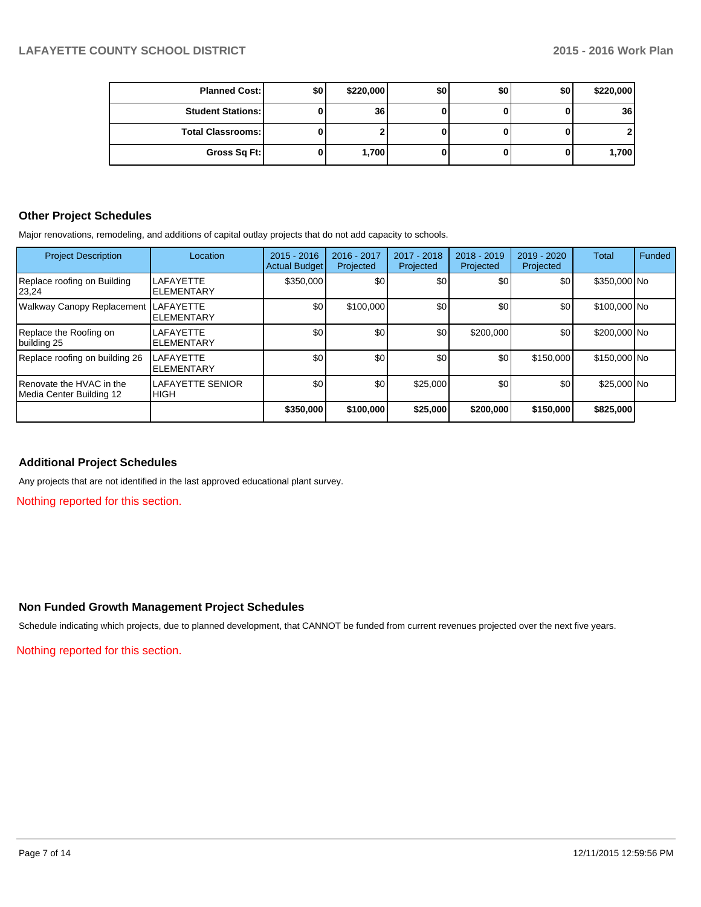| <b>Planned Cost:</b>     | \$0 | \$220,000       | \$0 | \$0 | \$0 | \$220,000       |
|--------------------------|-----|-----------------|-----|-----|-----|-----------------|
| <b>Student Stations:</b> |     | 36 <sub>l</sub> |     |     |     | 36 <sup>1</sup> |
| <b>Total Classrooms:</b> |     |                 |     |     |     |                 |
| Gross Sq Ft:             |     | 1,700           |     |     |     | 1,700           |

### **Other Project Schedules**

Major renovations, remodeling, and additions of capital outlay projects that do not add capacity to schools.

| <b>Project Description</b>                           | Location                               | $2015 - 2016$<br><b>Actual Budget</b> | 2016 - 2017<br>Projected | 2017 - 2018<br>Projected | $2018 - 2019$<br>Projected | 2019 - 2020<br>Projected | Total        | Funded |
|------------------------------------------------------|----------------------------------------|---------------------------------------|--------------------------|--------------------------|----------------------------|--------------------------|--------------|--------|
| Replace roofing on Building<br>23,24                 | LAFAYETTE<br><b>ELEMENTARY</b>         | \$350,000                             | \$0                      | \$0                      | \$0                        | \$0                      | \$350,000 No |        |
| Walkway Canopy Replacement                           | LAFAYETTE<br><b>ELEMENTARY</b>         | \$0                                   | \$100,000                | \$0                      | \$0                        | \$0                      | \$100,000 No |        |
| Replace the Roofing on<br>building 25                | LAFAYETTE<br><b>ELEMENTARY</b>         | \$0                                   | \$0                      | \$0 <sub>1</sub>         | \$200.000                  | \$0                      | \$200,000 No |        |
| Replace roofing on building 26                       | LAFAYETTE<br><b>ELEMENTARY</b>         | \$0                                   | \$0                      | \$0                      | \$0                        | \$150,000                | \$150,000 No |        |
| Renovate the HVAC in the<br>Media Center Building 12 | <b>LAFAYETTE SENIOR</b><br><b>HIGH</b> | \$0                                   | \$0 <sub>1</sub>         | \$25,000                 | \$0                        | \$0                      | \$25,000 No  |        |
|                                                      |                                        | \$350,000                             | \$100,000                | \$25,000                 | \$200,000                  | \$150,000                | \$825,000    |        |

## **Additional Project Schedules**

Any projects that are not identified in the last approved educational plant survey.

Nothing reported for this section.

#### **Non Funded Growth Management Project Schedules**

Schedule indicating which projects, due to planned development, that CANNOT be funded from current revenues projected over the next five years.

Nothing reported for this section.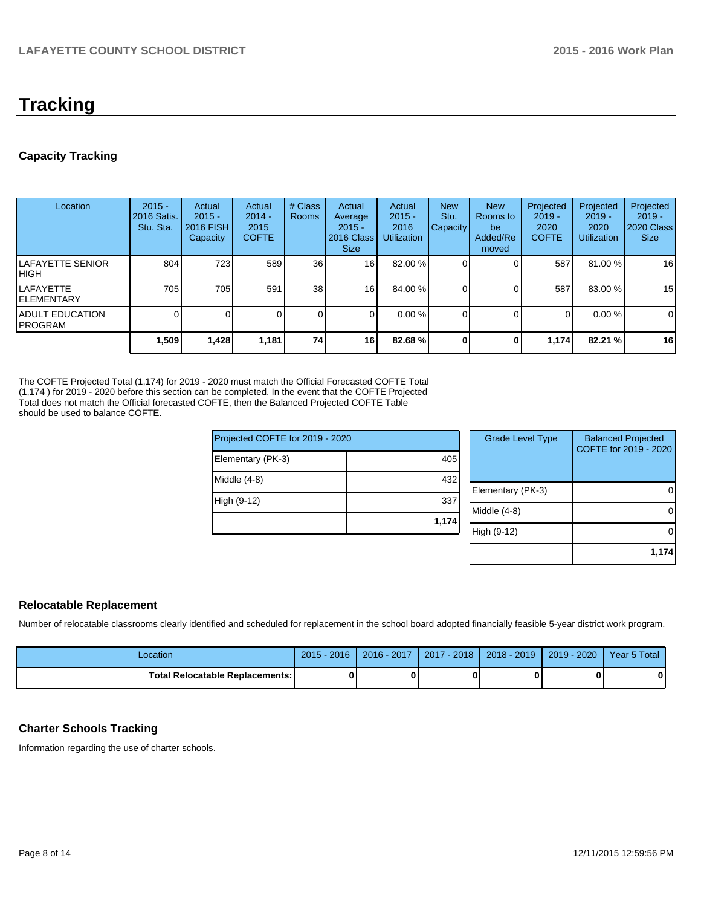# **Tracking**

## **Capacity Tracking**

| Location                            | $2015 -$<br>2016 Satis.<br>Stu. Sta. | Actual<br>$2015 -$<br><b>2016 FISH</b><br>Capacity | Actual<br>$2014 -$<br>2015<br><b>COFTE</b> | # Class<br><b>Rooms</b> | Actual<br>Average<br>$2015 -$<br>2016 Class<br><b>Size</b> | Actual<br>$2015 -$<br>2016<br><b>Utilization</b> | <b>New</b><br>Stu.<br>Capacity | <b>New</b><br><b>Rooms</b> to<br>be<br>Added/Re<br>moved | Projected<br>$2019 -$<br>2020<br><b>COFTE</b> | Projected<br>$2019 -$<br>2020<br><b>Utilization</b> | Projected<br>$2019 -$<br>2020 Class<br><b>Size</b> |
|-------------------------------------|--------------------------------------|----------------------------------------------------|--------------------------------------------|-------------------------|------------------------------------------------------------|--------------------------------------------------|--------------------------------|----------------------------------------------------------|-----------------------------------------------|-----------------------------------------------------|----------------------------------------------------|
| ILAFAYETTE SENIOR<br>IHIGH          | 804                                  | 723                                                | 589                                        | 36 <sup>1</sup>         | 16 <sub>1</sub>                                            | 82.00 %                                          |                                |                                                          | 587                                           | 81.00 %                                             | 16                                                 |
| ILAFAYETTE<br><b>IELEMENTARY</b>    | 705                                  | 705                                                | 591                                        | 38 <sup>1</sup>         | 16                                                         | 84.00 %                                          |                                |                                                          | 587                                           | 83.00 %                                             | 15                                                 |
| <b>IADULT EDUCATION</b><br>IPROGRAM |                                      |                                                    |                                            | $\Omega$                | ΩI                                                         | $0.00\%$                                         |                                |                                                          | $\Omega$                                      | $0.00\%$                                            | 0                                                  |
|                                     | 1,509                                | 1,428                                              | 1,181                                      | 74 l                    | 16                                                         | 82.68 %                                          |                                | O                                                        | 1.174                                         | 82.21 %                                             | 16                                                 |

The COFTE Projected Total (1,174) for 2019 - 2020 must match the Official Forecasted COFTE Total (1,174 ) for 2019 - 2020 before this section can be completed. In the event that the COFTE Projected Total does not match the Official forecasted COFTE, then the Balanced Projected COFTE Table should be used to balance COFTE.

| Projected COFTE for 2019 - 2020 |       | <b>Grade Level Type</b> | <b>Balanced Projected</b><br>COFTE for 2019 - 2020 |
|---------------------------------|-------|-------------------------|----------------------------------------------------|
| Elementary (PK-3)               |       |                         |                                                    |
| Middle $(4-8)$                  | 432   |                         |                                                    |
|                                 |       | Elementary (PK-3)       |                                                    |
| High (9-12)                     | 337   |                         |                                                    |
|                                 | 1,174 | Middle (4-8)            |                                                    |
|                                 |       | High (9-12)             |                                                    |
|                                 |       |                         |                                                    |
|                                 |       |                         | 1,174                                              |

#### **Relocatable Replacement**

Number of relocatable classrooms clearly identified and scheduled for replacement in the school board adopted financially feasible 5-year district work program.

| _ocation                               | $2015 - 2016$ | 2016 - 2017 | 2017 - 2018 | 2018 - 2019 | 2019 - 2020 | Year 5 Total |
|----------------------------------------|---------------|-------------|-------------|-------------|-------------|--------------|
| <b>Total Relocatable Replacements:</b> |               |             |             |             |             | 0            |

## **Charter Schools Tracking**

Information regarding the use of charter schools.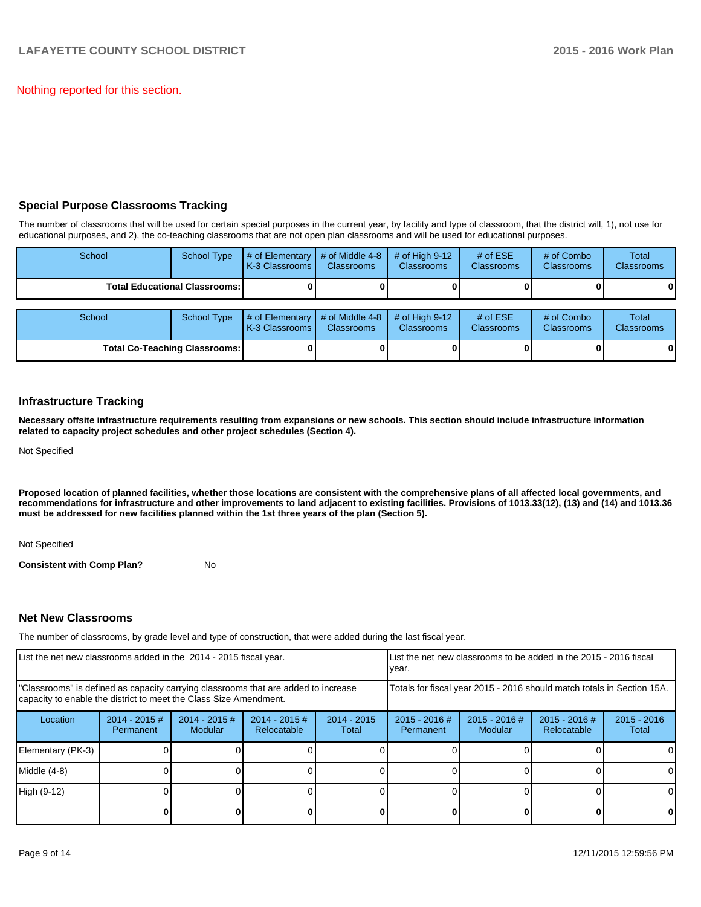Nothing reported for this section.

## **Special Purpose Classrooms Tracking**

The number of classrooms that will be used for certain special purposes in the current year, by facility and type of classroom, that the district will, 1), not use for educational purposes, and 2), the co-teaching classrooms that are not open plan classrooms and will be used for educational purposes.

| School                                 | <b>School Type</b> | # of Elementary<br>K-3 Classrooms I | # of Middle 4-8<br><b>Classrooms</b> | # of High $9-12$<br><b>Classrooms</b> | # of $ESE$<br><b>Classrooms</b> | # of Combo<br><b>Classrooms</b> | Total<br><b>Classrooms</b> |
|----------------------------------------|--------------------|-------------------------------------|--------------------------------------|---------------------------------------|---------------------------------|---------------------------------|----------------------------|
| <b>Total Educational Classrooms: I</b> |                    |                                     |                                      |                                       |                                 |                                 | 01                         |
|                                        |                    |                                     |                                      |                                       |                                 |                                 |                            |
| School                                 | <b>School Type</b> | # of Elementary<br>K-3 Classrooms   | # of Middle 4-8<br><b>Classrooms</b> | # of High $9-12$<br><b>Classrooms</b> | # of $ESE$<br><b>Classrooms</b> | # of Combo<br><b>Classrooms</b> | Total<br><b>Classrooms</b> |
| <b>Total Co-Teaching Classrooms:</b>   |                    |                                     |                                      |                                       |                                 |                                 | 01                         |

#### **Infrastructure Tracking**

**Necessary offsite infrastructure requirements resulting from expansions or new schools. This section should include infrastructure information related to capacity project schedules and other project schedules (Section 4).**

Not Specified

**Proposed location of planned facilities, whether those locations are consistent with the comprehensive plans of all affected local governments, and recommendations for infrastructure and other improvements to land adjacent to existing facilities. Provisions of 1013.33(12), (13) and (14) and 1013.36 must be addressed for new facilities planned within the 1st three years of the plan (Section 5).**

Not Specified

**Consistent with Comp Plan?** No

#### **Net New Classrooms**

The number of classrooms, by grade level and type of construction, that were added during the last fiscal year.

| List the net new classrooms added in the 2014 - 2015 fiscal year.                                                                                       |                              |                            |                                |                        | List the net new classrooms to be added in the 2015 - 2016 fiscal<br>Ivear. |                            |                                |                        |  |
|---------------------------------------------------------------------------------------------------------------------------------------------------------|------------------------------|----------------------------|--------------------------------|------------------------|-----------------------------------------------------------------------------|----------------------------|--------------------------------|------------------------|--|
| "Classrooms" is defined as capacity carrying classrooms that are added to increase<br>capacity to enable the district to meet the Class Size Amendment. |                              |                            |                                |                        | Totals for fiscal year 2015 - 2016 should match totals in Section 15A.      |                            |                                |                        |  |
| Location                                                                                                                                                | $2014 - 2015$ #<br>Permanent | $2014 - 2015$ #<br>Modular | $2014 - 2015$ #<br>Relocatable | $2014 - 2015$<br>Total | $2015 - 2016$ #<br>Permanent                                                | $2015 - 2016$ #<br>Modular | $2015 - 2016$ #<br>Relocatable | $2015 - 2016$<br>Total |  |
| Elementary (PK-3)                                                                                                                                       |                              |                            |                                |                        |                                                                             |                            |                                | $\Omega$               |  |
| Middle (4-8)                                                                                                                                            |                              |                            |                                |                        |                                                                             |                            |                                | $\Omega$               |  |
| High (9-12)                                                                                                                                             |                              |                            |                                |                        |                                                                             |                            |                                | $\Omega$               |  |
|                                                                                                                                                         |                              |                            |                                |                        |                                                                             |                            |                                | 0                      |  |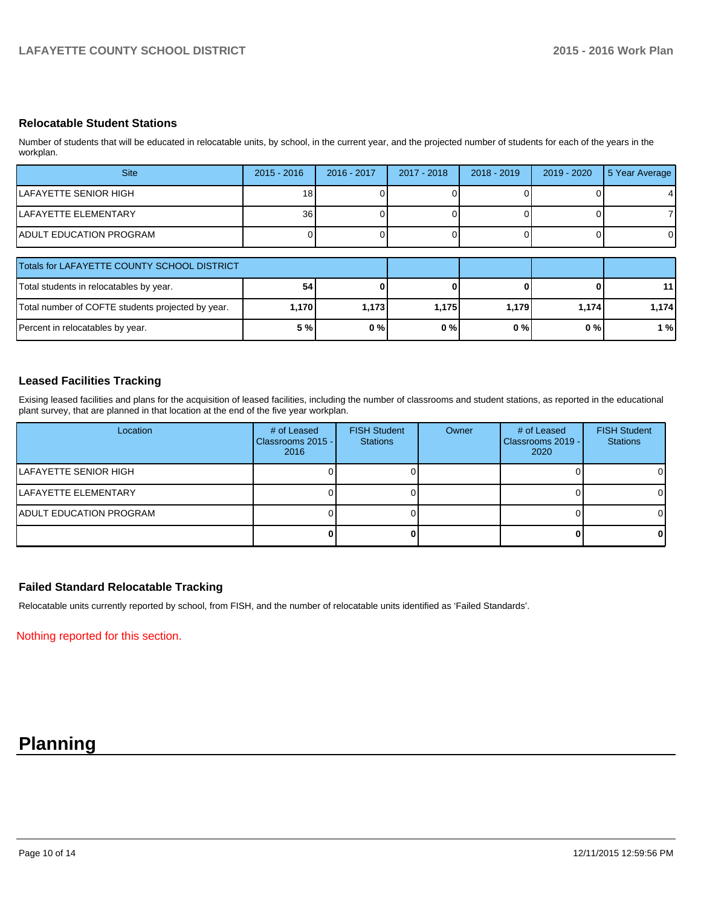### **Relocatable Student Stations**

Number of students that will be educated in relocatable units, by school, in the current year, and the projected number of students for each of the years in the workplan.

| <b>Site</b>                                       | $2015 - 2016$   | 2016 - 2017 | 2017 - 2018 | $2018 - 2019$ | 2019 - 2020 | 5 Year Average  |
|---------------------------------------------------|-----------------|-------------|-------------|---------------|-------------|-----------------|
| LAFAYETTE SENIOR HIGH                             | 18              |             |             |               |             | 4               |
| LAFAYETTE ELEMENTARY                              | 36 <sup>1</sup> |             |             |               |             |                 |
| <b>IADULT EDUCATION PROGRAM</b>                   |                 |             |             |               |             |                 |
| Totals for LAFAYETTE COUNTY SCHOOL DISTRICT       |                 |             |             |               |             |                 |
| Total students in relocatables by year.           | 54              |             |             |               |             | 11 <sup>1</sup> |
| Total number of COFTE students projected by year. | 1,170           | 1,173       | 1,175       | 1,179         | 1,174       | 1,174           |

Percent in relocatables by year. **5 % 0 % 0 % 0 % 0 % 1 %**

### **Leased Facilities Tracking**

Exising leased facilities and plans for the acquisition of leased facilities, including the number of classrooms and student stations, as reported in the educational plant survey, that are planned in that location at the end of the five year workplan.

| Location                        | # of Leased<br>Classrooms 2015 - I<br>2016 | <b>FISH Student</b><br><b>Stations</b> | Owner | # of Leased<br>Classrooms 2019 - I<br>2020 | <b>FISH Student</b><br><b>Stations</b> |
|---------------------------------|--------------------------------------------|----------------------------------------|-------|--------------------------------------------|----------------------------------------|
| ILAFAYETTE SENIOR HIGH          |                                            |                                        |       |                                            | ΟI                                     |
| LAFAYETTE ELEMENTARY            |                                            |                                        |       |                                            | ΩI                                     |
| <b>IADULT EDUCATION PROGRAM</b> |                                            |                                        |       |                                            | ΟI                                     |
|                                 |                                            |                                        |       |                                            | 01                                     |

#### **Failed Standard Relocatable Tracking**

Relocatable units currently reported by school, from FISH, and the number of relocatable units identified as 'Failed Standards'.

Nothing reported for this section.

# **Planning**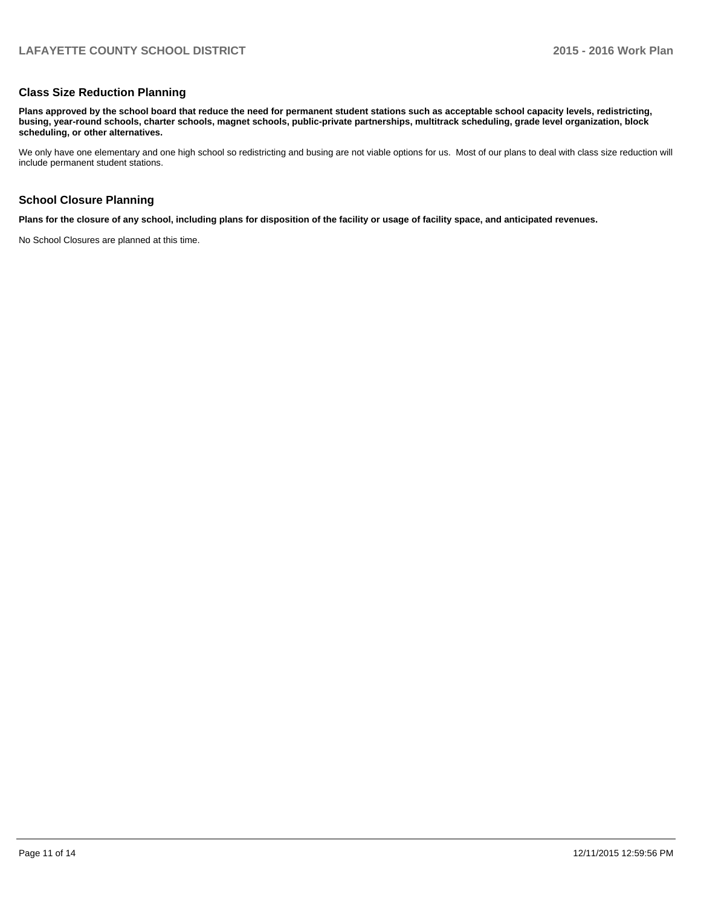#### **Class Size Reduction Planning**

**Plans approved by the school board that reduce the need for permanent student stations such as acceptable school capacity levels, redistricting, busing, year-round schools, charter schools, magnet schools, public-private partnerships, multitrack scheduling, grade level organization, block scheduling, or other alternatives.**

We only have one elementary and one high school so redistricting and busing are not viable options for us. Most of our plans to deal with class size reduction will include permanent student stations.

#### **School Closure Planning**

**Plans for the closure of any school, including plans for disposition of the facility or usage of facility space, and anticipated revenues.**

No School Closures are planned at this time.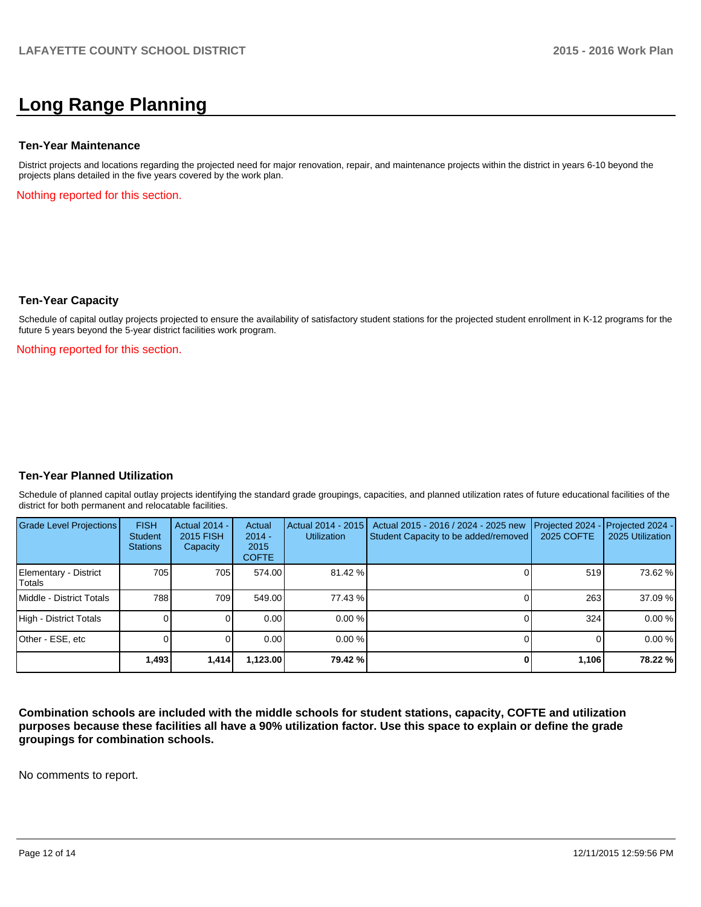# **Long Range Planning**

#### **Ten-Year Maintenance**

District projects and locations regarding the projected need for major renovation, repair, and maintenance projects within the district in years 6-10 beyond the projects plans detailed in the five years covered by the work plan.

Nothing reported for this section.

#### **Ten-Year Capacity**

Schedule of capital outlay projects projected to ensure the availability of satisfactory student stations for the projected student enrollment in K-12 programs for the future 5 years beyond the 5-year district facilities work program.

Nothing reported for this section.

#### **Ten-Year Planned Utilization**

Schedule of planned capital outlay projects identifying the standard grade groupings, capacities, and planned utilization rates of future educational facilities of the district for both permanent and relocatable facilities.

| Grade Level Projections         | <b>FISH</b><br><b>Student</b><br><b>Stations</b> | <b>Actual 2014 -</b><br>2015 FISH<br>Capacity | Actual<br>$2014 -$<br>2015<br><b>COFTE</b> | Actual 2014 - 2015<br>Utilization | Actual 2015 - 2016 / 2024 - 2025 new<br>Student Capacity to be added/removed | Projected 2024<br><b>2025 COFTE</b> | $-$ Projected 2024 -<br>2025 Utilization |
|---------------------------------|--------------------------------------------------|-----------------------------------------------|--------------------------------------------|-----------------------------------|------------------------------------------------------------------------------|-------------------------------------|------------------------------------------|
| Elementary - District<br>Totals | 705                                              | 705 I                                         | 574.00                                     | $81.42\%$                         |                                                                              | 519                                 | 73.62 %                                  |
| Middle - District Totals        | 788                                              | 709                                           | 549.00                                     | 77.43 %                           |                                                                              | 263                                 | 37.09 %                                  |
| High - District Totals          |                                                  |                                               | 0.00                                       | 0.00%                             |                                                                              | 324                                 | 0.00%                                    |
| Other - ESE, etc                |                                                  |                                               | 0.00                                       | $0.00\%$                          |                                                                              |                                     | 0.00%                                    |
|                                 | 1,493                                            | 1,414                                         | 1,123.00                                   | 79.42 %                           |                                                                              | 1,106                               | 78.22 %                                  |

**Combination schools are included with the middle schools for student stations, capacity, COFTE and utilization purposes because these facilities all have a 90% utilization factor. Use this space to explain or define the grade groupings for combination schools.**

No comments to report.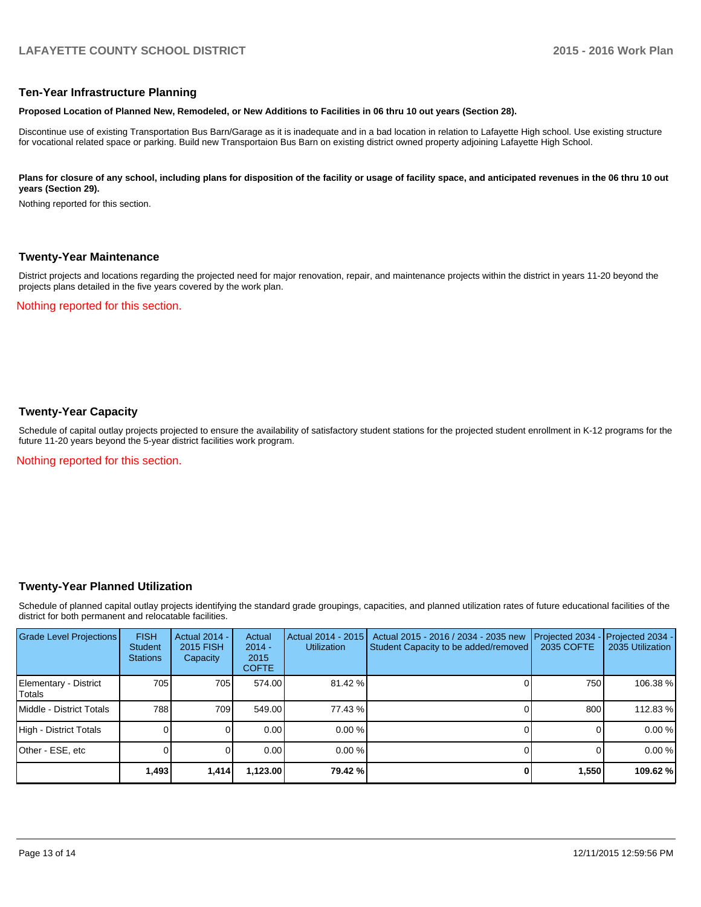#### **Ten-Year Infrastructure Planning**

#### **Proposed Location of Planned New, Remodeled, or New Additions to Facilities in 06 thru 10 out years (Section 28).**

Discontinue use of existing Transportation Bus Barn/Garage as it is inadequate and in a bad location in relation to Lafayette High school. Use existing structure for vocational related space or parking. Build new Transportaion Bus Barn on existing district owned property adjoining Lafayette High School.

#### Plans for closure of any school, including plans for disposition of the facility or usage of facility space, and anticipated revenues in the 06 thru 10 out **years (Section 29).**

Nothing reported for this section.

#### **Twenty-Year Maintenance**

District projects and locations regarding the projected need for major renovation, repair, and maintenance projects within the district in years 11-20 beyond the projects plans detailed in the five years covered by the work plan.

Nothing reported for this section.

#### **Twenty-Year Capacity**

Schedule of capital outlay projects projected to ensure the availability of satisfactory student stations for the projected student enrollment in K-12 programs for the future 11-20 years beyond the 5-year district facilities work program.

Nothing reported for this section.

#### **Twenty-Year Planned Utilization**

Schedule of planned capital outlay projects identifying the standard grade groupings, capacities, and planned utilization rates of future educational facilities of the district for both permanent and relocatable facilities.

| <b>Grade Level Projections</b>    | <b>FISH</b><br>Student<br><b>Stations</b> | <b>Actual 2014 -</b><br>2015 FISH<br>Capacity | Actual<br>$2014 -$<br>2015<br><b>COFTE</b> | Actual 2014 - 2015<br>Utilization | Actual 2015 - 2016 / 2034 - 2035 new<br>Student Capacity to be added/removed | Projected 2034<br>2035 COFTE | Projected 2034 -<br>2035 Utilization |
|-----------------------------------|-------------------------------------------|-----------------------------------------------|--------------------------------------------|-----------------------------------|------------------------------------------------------------------------------|------------------------------|--------------------------------------|
| Elementary - District<br>l Totals | 705                                       | 705                                           | 574.00                                     | 81.42 %                           |                                                                              | 750                          | 106.38 %                             |
| Middle - District Totals          | 788                                       | 709                                           | 549.00                                     | 77.43 %                           |                                                                              | 800                          | 112.83%                              |
| High - District Totals            |                                           |                                               | 0.00                                       | $0.00\%$                          |                                                                              |                              | 0.00%                                |
| Other - ESE, etc                  |                                           |                                               | 0.00                                       | $0.00\%$                          |                                                                              |                              | 0.00%                                |
|                                   | 1,493                                     | 1,414                                         | 1,123.00                                   | 79.42 %                           |                                                                              | 1,550                        | 109.62 %                             |